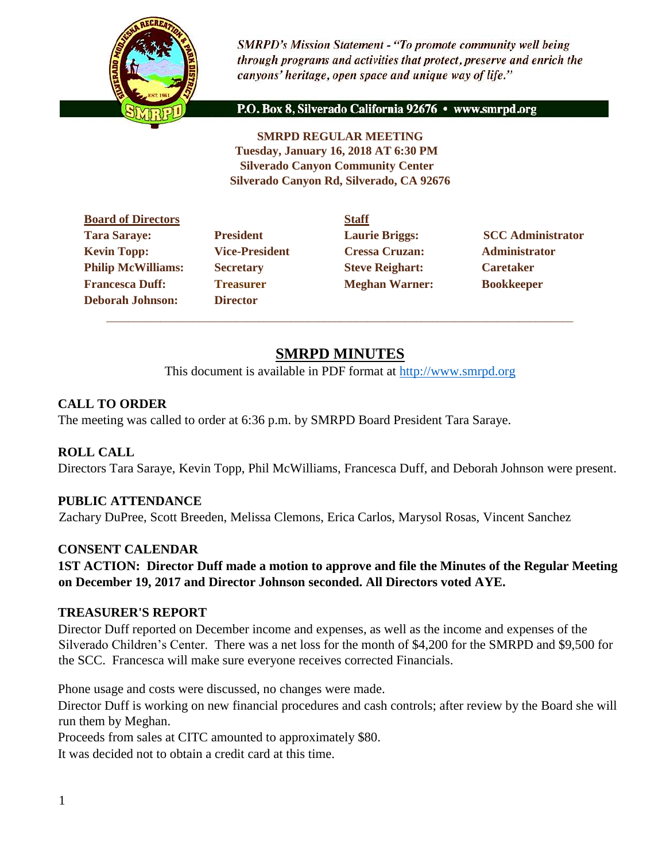

**SMRPD's Mission Statement - "To promote community well being** through programs and activities that protect, preserve and enrich the canyons' heritage, open space and unique way of life."

P.O. Box 8, Silverado California 92676 · www.smrpd.org

**SMRPD REGULAR MEETING Tuesday, January 16, 2018 AT 6:30 PM Silverado Canyon Community Center Silverado Canyon Rd, Silverado, CA 92676** 

|                       | <b>Staff</b> |
|-----------------------|--------------|
| <b>President</b>      | Laur         |
| <b>Vice-President</b> | <b>Cres</b>  |
| <b>Secretary</b>      | <b>Steve</b> |
| <b>Treasurer</b>      | Megl         |
| <b>Director</b>       |              |
|                       |              |

**Director** \_\_\_\_\_\_\_\_\_\_\_\_\_\_\_\_\_\_\_\_\_\_\_\_\_\_\_\_\_\_\_\_\_\_\_\_\_\_\_\_\_\_\_\_\_\_\_\_\_\_\_\_\_\_\_\_\_\_\_\_\_\_\_\_\_\_\_\_\_\_\_\_\_\_\_\_\_\_\_\_\_\_\_\_\_\_

Vice-President Cressa Cruzan: Administrator **Philip McCaretary Philip Steve Reighart: Caretaker Freasurer Meghan Warner: Bookkeeper** 

**Tarabushi**<br>**Tarabushi**<br>**Tarabushi**<br>**SCC Administrator** 

# **SMRPD MINUTES**

This document is available in PDF format at [http://www.smrpd.org](http://www.smrpd.org/)

### **CALL TO ORDER**

The meeting was called to order at 6:36 p.m. by SMRPD Board President Tara Saraye.

### **ROLL CALL**

Directors Tara Saraye, Kevin Topp, Phil McWilliams, Francesca Duff, and Deborah Johnson were present.

### **PUBLIC ATTENDANCE**

Zachary DuPree, Scott Breeden, Melissa Clemons, Erica Carlos, Marysol Rosas, Vincent Sanchez

#### **CONSENT CALENDAR**

**1ST ACTION: Director Duff made a motion to approve and file the Minutes of the Regular Meeting on December 19, 2017 and Director Johnson seconded. All Directors voted AYE.**

### **TREASURER'S REPORT**

Director Duff reported on December income and expenses, as well as the income and expenses of the Silverado Children's Center. There was a net loss for the month of \$4,200 for the SMRPD and \$9,500 for the SCC. Francesca will make sure everyone receives corrected Financials.

Phone usage and costs were discussed, no changes were made.

Director Duff is working on new financial procedures and cash controls; after review by the Board she will run them by Meghan.

Proceeds from sales at CITC amounted to approximately \$80.

It was decided not to obtain a credit card at this time.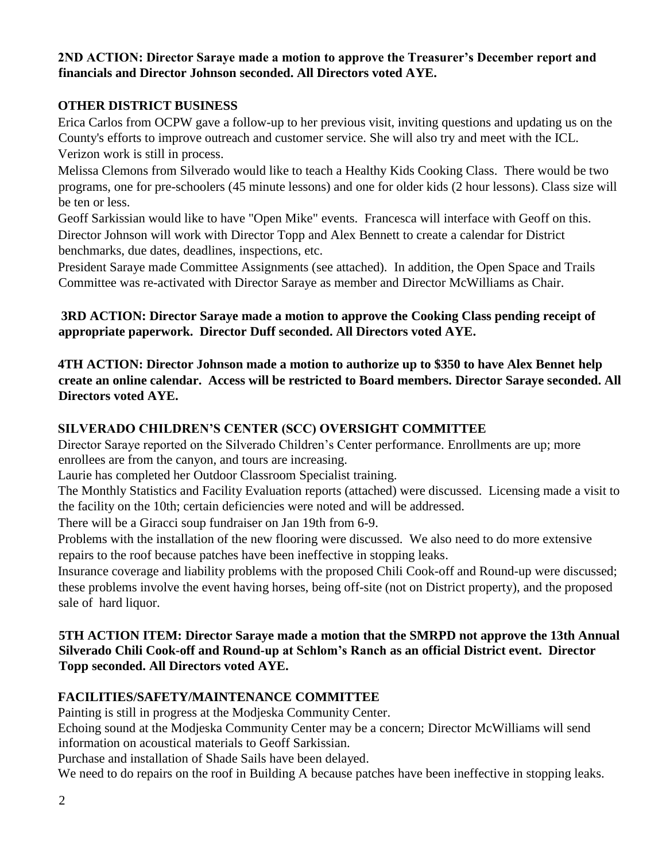### **2ND ACTION: Director Saraye made a motion to approve the Treasurer's December report and financials and Director Johnson seconded. All Directors voted AYE.**

### **OTHER DISTRICT BUSINESS**

Erica Carlos from OCPW gave a follow-up to her previous visit, inviting questions and updating us on the County's efforts to improve outreach and customer service. She will also try and meet with the ICL. Verizon work is still in process.

Melissa Clemons from Silverado would like to teach a Healthy Kids Cooking Class. There would be two programs, one for pre-schoolers (45 minute lessons) and one for older kids (2 hour lessons). Class size will be ten or less.

Geoff Sarkissian would like to have "Open Mike" events. Francesca will interface with Geoff on this. Director Johnson will work with Director Topp and Alex Bennett to create a calendar for District benchmarks, due dates, deadlines, inspections, etc.

President Saraye made Committee Assignments (see attached). In addition, the Open Space and Trails Committee was re-activated with Director Saraye as member and Director McWilliams as Chair.

### **3RD ACTION: Director Saraye made a motion to approve the Cooking Class pending receipt of appropriate paperwork. Director Duff seconded. All Directors voted AYE.**

**4TH ACTION: Director Johnson made a motion to authorize up to \$350 to have Alex Bennet help create an online calendar. Access will be restricted to Board members. Director Saraye seconded. All Directors voted AYE.**

### **SILVERADO CHILDREN'S CENTER (SCC) OVERSIGHT COMMITTEE**

Director Saraye reported on the Silverado Children's Center performance. Enrollments are up; more enrollees are from the canyon, and tours are increasing.

Laurie has completed her Outdoor Classroom Specialist training.

The Monthly Statistics and Facility Evaluation reports (attached) were discussed. Licensing made a visit to the facility on the 10th; certain deficiencies were noted and will be addressed.

There will be a Giracci soup fundraiser on Jan 19th from 6-9.

Problems with the installation of the new flooring were discussed. We also need to do more extensive repairs to the roof because patches have been ineffective in stopping leaks.

Insurance coverage and liability problems with the proposed Chili Cook-off and Round-up were discussed; these problems involve the event having horses, being off-site (not on District property), and the proposed sale of hard liquor.

### **5TH ACTION ITEM: Director Saraye made a motion that the SMRPD not approve the 13th Annual Silverado Chili Cook-off and Round-up at Schlom's Ranch as an official District event. Director Topp seconded. All Directors voted AYE.**

## **FACILITIES/SAFETY/MAINTENANCE COMMITTEE**

Painting is still in progress at the Modjeska Community Center.

Echoing sound at the Modjeska Community Center may be a concern; Director McWilliams will send information on acoustical materials to Geoff Sarkissian.

Purchase and installation of Shade Sails have been delayed.

We need to do repairs on the roof in Building A because patches have been ineffective in stopping leaks.